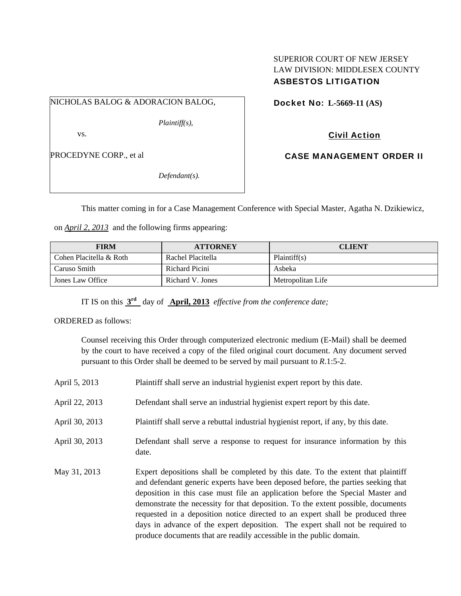## SUPERIOR COURT OF NEW JERSEY LAW DIVISION: MIDDLESEX COUNTY ASBESTOS LITIGATION

NICHOLAS BALOG & ADORACION BALOG,

*Plaintiff(s),* 

vs.

PROCEDYNE CORP., et al

*Defendant(s).* 

Docket No: **L-5669-11 (AS)** 

Civil Action

CASE MANAGEMENT ORDER II

This matter coming in for a Case Management Conference with Special Master, Agatha N. Dzikiewicz,

on *April 2, 2013* and the following firms appearing:

| <b>FIRM</b>             | <b>ATTORNEY</b>   | <b>CLIENT</b>     |
|-------------------------|-------------------|-------------------|
| Cohen Placitella & Roth | Rachel Placitella | Plaintiff(s)      |
| Caruso Smith            | Richard Picini    | Asbeka            |
| Jones Law Office        | Richard V. Jones  | Metropolitan Life |

IT IS on this **3rd** day of **April, 2013** *effective from the conference date;*

ORDERED as follows:

Counsel receiving this Order through computerized electronic medium (E-Mail) shall be deemed by the court to have received a copy of the filed original court document. Any document served pursuant to this Order shall be deemed to be served by mail pursuant to *R*.1:5-2.

- April 5, 2013 Plaint iff shall serve an industrial hygienist expert report by this date.
- April 22, 2013 Defendant shall serve an industrial hygienist expert report by this date.
- April 30, 2013 Plaintiff shall serve a rebuttal industrial hygienist report, if any, by this date.
- April 30, 2013 Defendant shall serve a response to request for insurance information by this date.
- May 31, 2013 Expert depositions shall be completed by this date. To the extent that plaintiff and defendant generic experts have been deposed before, the parties seeking that deposition in this case must file an application before the Special Master and demonstrate the necessity for that deposition. To the extent possible, documents requested in a deposition notice directed to an expert shall be produced three days in advance of the expert deposition. The expert shall not be required to produce documents that are readily accessible in the public domain.